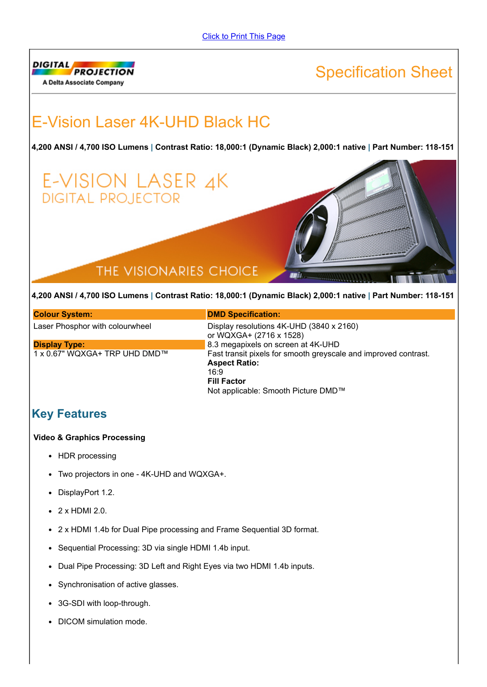

## Specification Sheet

# E-Vision Laser 4K-UHD Black HC

**4,200 ANSI / 4,700 ISO Lumens | Contrast Ratio: 18,000:1 (Dynamic Black) 2,000:1 native | Part Number: 118-151**

# E-VISION LASER 4K **DIGITAL PROJECTOR**

## THE VISIONARIES CHOICE

#### **4,200 ANSI / 4,700 ISO Lumens | Contrast Ratio: 18,000:1 (Dynamic Black) 2,000:1 native | Part Number: 118-151**

| <b>Colour System:</b>           | <b>DMD Specification:</b>                                                                                                                                    |
|---------------------------------|--------------------------------------------------------------------------------------------------------------------------------------------------------------|
| Laser Phosphor with colourwheel | Display resolutions 4K-UHD (3840 x 2160)<br>or WQXGA+ (2716 x 1528)                                                                                          |
| <b>Display Type:</b>            | 8.3 megapixels on screen at 4K-UHD                                                                                                                           |
| 1 x 0.67" WQXGA+ TRP UHD DMD™   | Fast transit pixels for smooth greyscale and improved contrast.<br><b>Aspect Ratio:</b><br>16:9<br><b>Fill Factor</b><br>Not applicable: Smooth Picture DMD™ |

### **Key Features**

#### **Video & Graphics Processing**

- HDR processing
- Two projectors in one 4K-UHD and WQXGA+.
- DisplayPort 1.2.
- $\bullet$  2 x HDMI 2.0.
- 2 x HDMI 1.4b for Dual Pipe processing and Frame Sequential 3D format.
- Sequential Processing: 3D via single HDMI 1.4b input.  $\bullet$
- Dual Pipe Processing: 3D Left and Right Eyes via two HDMI 1.4b inputs.  $\bullet$
- Synchronisation of active glasses.
- 3G-SDI with loop-through.
- DICOM simulation mode.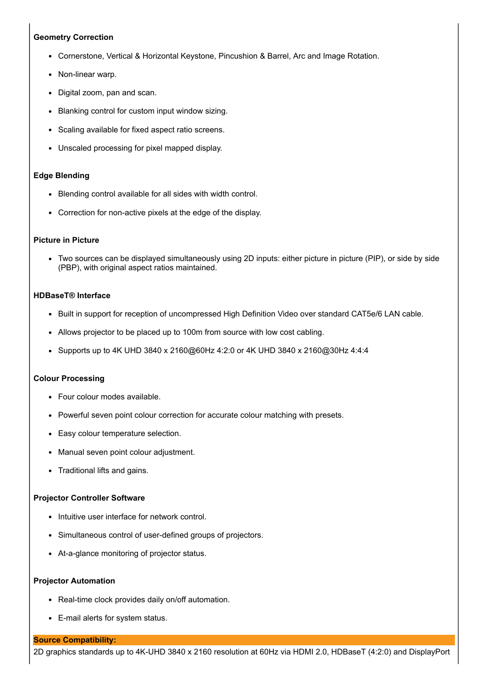#### **Geometry Correction**

- Cornerstone, Vertical & Horizontal Keystone, Pincushion & Barrel, Arc and Image Rotation.
- Non-linear warp.
- Digital zoom, pan and scan.
- Blanking control for custom input window sizing.
- Scaling available for fixed aspect ratio screens.
- Unscaled processing for pixel mapped display.

#### **Edge Blending**

- Blending control available for all sides with width control.
- Correction for non-active pixels at the edge of the display.

#### **Picture in Picture**

Two sources can be displayed simultaneously using 2D inputs: either picture in picture (PIP), or side by side (PBP), with original aspect ratios maintained.

#### **HDBaseT® Interface**

- Built in support for reception of uncompressed High Definition Video over standard CAT5e/6 LAN cable.
- Allows projector to be placed up to 100m from source with low cost cabling.
- Supports up to 4K UHD 3840 x 2160@60Hz 4:2:0 or 4K UHD 3840 x 2160@30Hz 4:4:4

#### **Colour Processing**

- Four colour modes available.
- Powerful seven point colour correction for accurate colour matching with presets.
- Easy colour temperature selection.
- Manual seven point colour adjustment.
- Traditional lifts and gains.

#### **Projector Controller Software**

- Intuitive user interface for network control.
- Simultaneous control of user-defined groups of projectors.
- At-a-glance monitoring of projector status.

#### **Projector Automation**

- Real-time clock provides daily on/off automation.
- E-mail alerts for system status.

#### **Source Compatibility:**

2D graphics standards up to 4K-UHD 3840 x 2160 resolution at 60Hz via HDMI 2.0, HDBaseT (4:2:0) and DisplayPort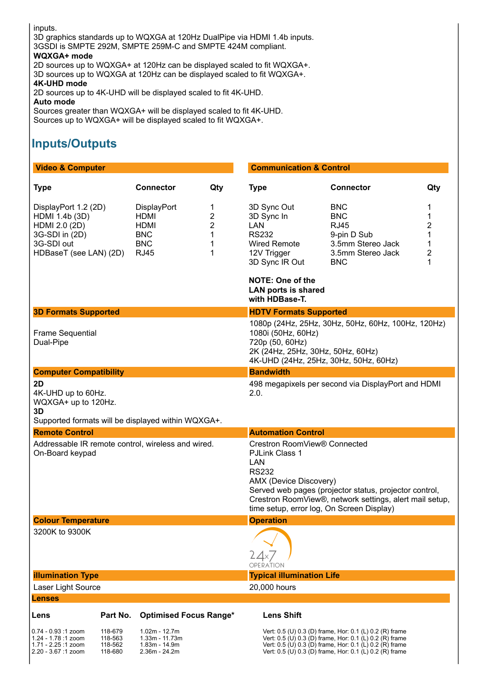#### inputs.

3D graphics standards up to WQXGA at 120Hz DualPipe via HDMI 1.4b inputs. 3GSDI is SMPTE 292M, SMPTE 259M-C and SMPTE 424M compliant. **WQXGA+ mode**

2D sources up to WQXGA+ at 120Hz can be displayed scaled to fit WQXGA+.

3D sources up to WQXGA at 120Hz can be displayed scaled to fit WQXGA+.

**4K-UHD mode**

2D sources up to 4K-UHD will be displayed scaled to fit 4K-UHD.

**Auto mode**

Sources greater than WQXGA+ will be displayed scaled to fit 4K-UHD. Sources up to WQXGA+ will be displayed scaled to fit WQXGA+.

### **Inputs/Outputs**

| <b>Video &amp; Computer</b>                                                                                       |                               |                                                                                             |                                         | <b>Communication &amp; Control</b>                                                                              |                                                                                                                                                                               |                                 |
|-------------------------------------------------------------------------------------------------------------------|-------------------------------|---------------------------------------------------------------------------------------------|-----------------------------------------|-----------------------------------------------------------------------------------------------------------------|-------------------------------------------------------------------------------------------------------------------------------------------------------------------------------|---------------------------------|
| <b>Type</b>                                                                                                       |                               | <b>Connector</b>                                                                            | Qty                                     | <b>Type</b>                                                                                                     | <b>Connector</b>                                                                                                                                                              | Qty                             |
| DisplayPort 1.2 (2D)<br>HDMI 1.4b (3D)<br>HDMI 2.0 (2D)<br>3G-SDI in (2D)<br>3G-SDI out<br>HDBaseT (see LAN) (2D) |                               | <b>DisplayPort</b><br><b>HDMI</b><br><b>HDMI</b><br><b>BNC</b><br><b>BNC</b><br><b>RJ45</b> | 1<br>2<br>$\overline{2}$<br>1<br>1<br>1 | 3D Sync Out<br>3D Sync In<br><b>LAN</b><br><b>RS232</b><br><b>Wired Remote</b><br>12V Trigger<br>3D Sync IR Out | <b>BNC</b><br><b>BNC</b><br><b>RJ45</b><br>9-pin D Sub<br>3.5mm Stereo Jack<br>3.5mm Stereo Jack<br><b>BNC</b>                                                                | 1<br>1<br>2<br>1<br>1<br>2<br>1 |
|                                                                                                                   |                               |                                                                                             |                                         | <b>NOTE: One of the</b><br><b>LAN ports is shared</b><br>with HDBase-T.                                         |                                                                                                                                                                               |                                 |
| <b>3D Formats Supported</b>                                                                                       |                               |                                                                                             |                                         | <b>HDTV Formats Supported</b>                                                                                   |                                                                                                                                                                               |                                 |
| <b>Frame Sequential</b><br>Dual-Pipe                                                                              |                               |                                                                                             |                                         | 1080i (50Hz, 60Hz)<br>720p (50, 60Hz)<br>2K (24Hz, 25Hz, 30Hz, 50Hz, 60Hz)                                      | 1080p (24Hz, 25Hz, 30Hz, 50Hz, 60Hz, 100Hz, 120Hz)<br>4K-UHD (24Hz, 25Hz, 30Hz, 50Hz, 60Hz)                                                                                   |                                 |
| <b>Computer Compatibility</b>                                                                                     |                               |                                                                                             |                                         | <b>Bandwidth</b>                                                                                                |                                                                                                                                                                               |                                 |
| 2D<br>4K-UHD up to 60Hz.<br>WQXGA+ up to 120Hz.<br>3D                                                             |                               | Supported formats will be displayed within WQXGA+.                                          |                                         | 2.0.                                                                                                            | 498 megapixels per second via DisplayPort and HDMI                                                                                                                            |                                 |
| <b>Remote Control</b>                                                                                             |                               |                                                                                             |                                         | <b>Automation Control</b>                                                                                       |                                                                                                                                                                               |                                 |
| On-Board keypad                                                                                                   |                               | Addressable IR remote control, wireless and wired.                                          |                                         | Crestron RoomView® Connected<br>PJLink Class 1<br>LAN<br><b>RS232</b><br>AMX (Device Discovery)                 | Served web pages (projector status, projector control,<br>Crestron RoomView®, network settings, alert mail setup,<br>time setup, error log, On Screen Display)                |                                 |
| <b>Colour Temperature</b>                                                                                         |                               |                                                                                             |                                         | <b>Operation</b>                                                                                                |                                                                                                                                                                               |                                 |
| 3200K to 9300K                                                                                                    |                               |                                                                                             |                                         | OPERATIO                                                                                                        |                                                                                                                                                                               |                                 |
| <b>illumination Type</b>                                                                                          |                               |                                                                                             |                                         | <b>Typical illumination Life</b>                                                                                |                                                                                                                                                                               |                                 |
| Laser Light Source                                                                                                |                               |                                                                                             |                                         | 20,000 hours                                                                                                    |                                                                                                                                                                               |                                 |
| <b>Lenses</b>                                                                                                     |                               |                                                                                             |                                         |                                                                                                                 |                                                                                                                                                                               |                                 |
| Lens                                                                                                              | Part No.                      | <b>Optimised Focus Range*</b>                                                               |                                         | <b>Lens Shift</b>                                                                                               |                                                                                                                                                                               |                                 |
| $0.74 - 0.93:1$ zoom<br>1.24 - 1.78 :1 zoom<br>1.71 - 2.25 :1 zoom                                                | 118-679<br>118-563<br>118-562 | $1.02m - 12.7m$<br>$1.33m - 11.73m$<br>1.83m - 14.9m                                        |                                         |                                                                                                                 | Vert: 0.5 (U) 0.3 (D) frame, Hor: 0.1 (L) 0.2 (R) frame<br>Vert: 0.5 (U) 0.3 (D) frame, Hor: 0.1 (L) 0.2 (R) frame<br>Vert: 0.5 (U) 0.3 (D) frame, Hor: 0.1 (L) 0.2 (R) frame |                                 |

2.20 - 3.67 :1 zoom 118-680 2.36m - 24.2m Vert: 0.5 (U) 0.3 (D) frame, Hor: 0.1 (L) 0.2 (R) frame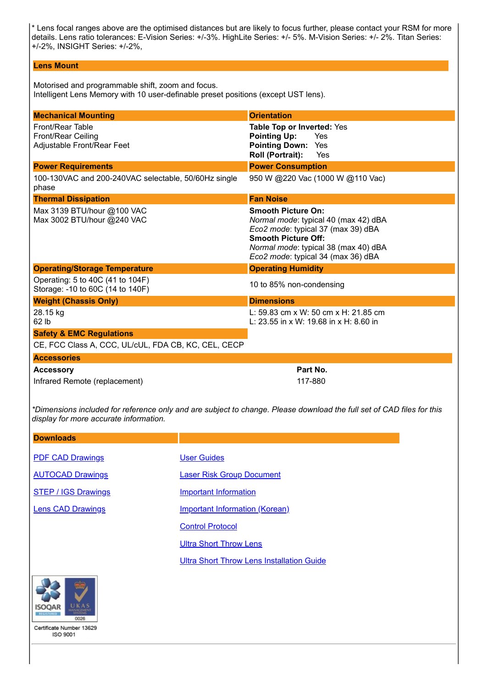\* Lens focal ranges above are the optimised distances but are likely to focus further, please contact your RSM for more details. Lens ratio tolerances: E-Vision Series: +/-3%. HighLite Series: +/- 5%. M-Vision Series: +/- 2%. Titan Series: +/-2%, INSIGHT Series: +/-2%,

#### **Lens Mount**

Motorised and programmable shift, zoom and focus. Intelligent Lens Memory with 10 user-definable preset positions (except UST lens).

| <b>Mechanical Mounting</b>                                           | <b>Orientation</b>                                                                                                                                                                                                  |
|----------------------------------------------------------------------|---------------------------------------------------------------------------------------------------------------------------------------------------------------------------------------------------------------------|
| <b>Front/Rear Table</b>                                              | Table Top or Inverted: Yes                                                                                                                                                                                          |
| Front/Rear Ceiling                                                   | <b>Pointing Up:</b><br>Yes                                                                                                                                                                                          |
| Adjustable Front/Rear Feet                                           | Pointing Down: Yes                                                                                                                                                                                                  |
|                                                                      | <b>Roll (Portrait):</b><br>Yes                                                                                                                                                                                      |
| <b>Power Requirements</b>                                            | <b>Power Consumption</b>                                                                                                                                                                                            |
| 100-130VAC and 200-240VAC selectable, 50/60Hz single<br>phase        | 950 W @220 Vac (1000 W @110 Vac)                                                                                                                                                                                    |
| <b>Thermal Dissipation</b>                                           | <b>Fan Noise</b>                                                                                                                                                                                                    |
| Max 3139 BTU/hour @100 VAC<br>Max 3002 BTU/hour @240 VAC             | <b>Smooth Picture On:</b><br>Normal mode: typical 40 (max 42) dBA<br>Eco2 mode: typical 37 (max 39) dBA<br><b>Smooth Picture Off:</b><br>Normal mode: typical 38 (max 40) dBA<br>Eco2 mode: typical 34 (max 36) dBA |
| <b>Operating/Storage Temperature</b>                                 | <b>Operating Humidity</b>                                                                                                                                                                                           |
| Operating: 5 to 40C (41 to 104F)<br>Storage: -10 to 60C (14 to 140F) | 10 to 85% non-condensing                                                                                                                                                                                            |
| <b>Weight (Chassis Only)</b>                                         | <b>Dimensions</b>                                                                                                                                                                                                   |
| 28.15 kg                                                             | 1: 59.83 cm x W: 50 cm x H: 21.85 cm                                                                                                                                                                                |
| 62 lb                                                                | 1: 23.55 in x W: 19.68 in x H: 8.60 in                                                                                                                                                                              |
| <b>Safety &amp; EMC Regulations</b>                                  |                                                                                                                                                                                                                     |
| CE, FCC Class A, CCC, UL/cUL, FDA CB, KC, CEL, CECP                  |                                                                                                                                                                                                                     |
| <b>Accessories</b>                                                   |                                                                                                                                                                                                                     |
| <b>Accessory</b>                                                     | Part No.                                                                                                                                                                                                            |
| Infrared Remote (replacement)                                        | 117-880                                                                                                                                                                                                             |

*\*Dimensions included for reference only and are subject to change. Please download the full set of CAD files for this display for more accurate information.*

| <b>Downloads</b>           |                                                  |
|----------------------------|--------------------------------------------------|
| <b>PDF CAD Drawings</b>    | <b>User Guides</b>                               |
| <b>AUTOCAD Drawings</b>    | <b>Laser Risk Group Document</b>                 |
| <b>STEP / IGS Drawings</b> | <b>Important Information</b>                     |
| <b>Lens CAD Drawings</b>   | <b>Important Information (Korean)</b>            |
|                            | <b>Control Protocol</b>                          |
|                            | <b>Ultra Short Throw Lens</b>                    |
|                            | <b>Ultra Short Throw Lens Installation Guide</b> |
|                            |                                                  |



Certificate Number 13629 ISO 9001